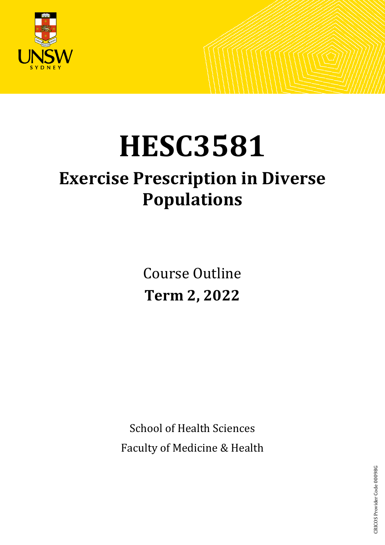

# **HESC3581**

## **Exercise Prescription in Diverse Populations**

Course Outline **Term 2, 2022**

School of Health Sciences Faculty of Medicine & Health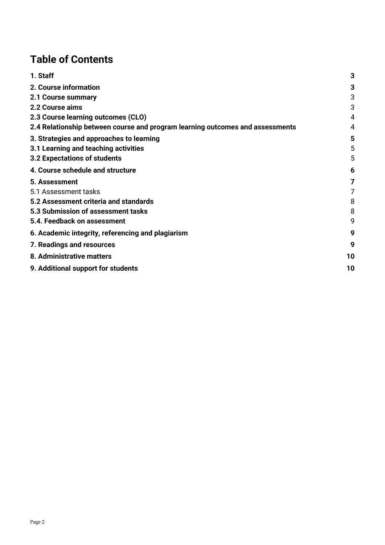## **Table of Contents**

| 1. Staff                                                                      | 3  |
|-------------------------------------------------------------------------------|----|
| 2. Course information                                                         | 3  |
| 2.1 Course summary                                                            | 3  |
| 2.2 Course aims                                                               | 3  |
| 2.3 Course learning outcomes (CLO)                                            | 4  |
| 2.4 Relationship between course and program learning outcomes and assessments | 4  |
| 3. Strategies and approaches to learning                                      | 5  |
| 3.1 Learning and teaching activities                                          | 5  |
| 3.2 Expectations of students                                                  | 5  |
| 4. Course schedule and structure                                              | 6  |
| 5. Assessment                                                                 | 7  |
| 5.1 Assessment tasks                                                          | 7  |
| 5.2 Assessment criteria and standards                                         | 8  |
| 5.3 Submission of assessment tasks                                            | 8  |
| 5.4. Feedback on assessment                                                   | 9  |
| 6. Academic integrity, referencing and plagiarism                             | 9  |
| 7. Readings and resources                                                     | 9  |
| 8. Administrative matters                                                     | 10 |
| 9. Additional support for students                                            | 10 |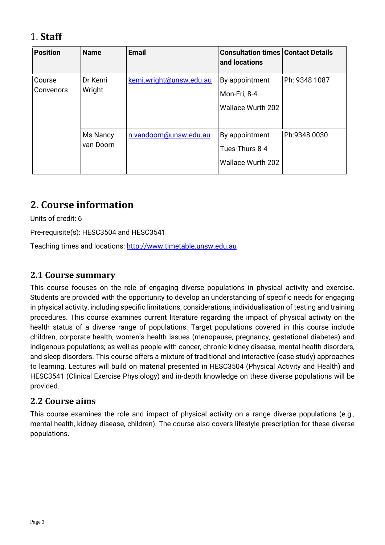## <span id="page-2-0"></span>1. **Staff**

| <b>Position</b>     | <b>Name</b>           | <b>Email</b>            | <b>Consultation times Contact Details</b><br>and locations   |               |
|---------------------|-----------------------|-------------------------|--------------------------------------------------------------|---------------|
| Course<br>Convenors | Dr Kemi<br>Wright     | kemi.wright@unsw.edu.au | By appointment<br>Mon-Fri, 8-4<br><b>Wallace Wurth 202</b>   | Ph: 9348 1087 |
|                     | Ms Nancy<br>van Doorn | n.vandoorn@unsw.edu.au  | By appointment<br>Tues-Thurs 8-4<br><b>Wallace Wurth 202</b> | Ph:9348 0030  |

## <span id="page-2-1"></span>**2. Course information**

Units of credit: 6

Pre-requisite(s): HESC3504 and HESC3541

Teaching times and locations: [http://www.timetable.unsw.edu.au](http://www.timetable.unsw.edu.au/)

#### <span id="page-2-2"></span>**2.1 Course summary**

This course focuses on the role of engaging diverse populations in physical activity and exercise. Students are provided with the opportunity to develop an understanding of specific needs for engaging in physical activity, including specific limitations, considerations, individualisation of testing and training procedures. This course examines current literature regarding the impact of physical activity on the health status of a diverse range of populations. Target populations covered in this course include children, corporate health, women's health issues (menopause, pregnancy, gestational diabetes) and indigenous populations; as well as people with cancer, chronic kidney disease, mental health disorders, and sleep disorders. This course offers a mixture of traditional and interactive (case study) approaches to learning. Lectures will build on material presented in HESC3504 (Physical Activity and Health) and HESC3541 (Clinical Exercise Physiology) and in-depth knowledge on these diverse populations will be provided.

#### <span id="page-2-3"></span>**2.2 Course aims**

This course examines the role and impact of physical activity on a range diverse populations (e.g., mental health, kidney disease, children). The course also covers lifestyle prescription for these diverse populations.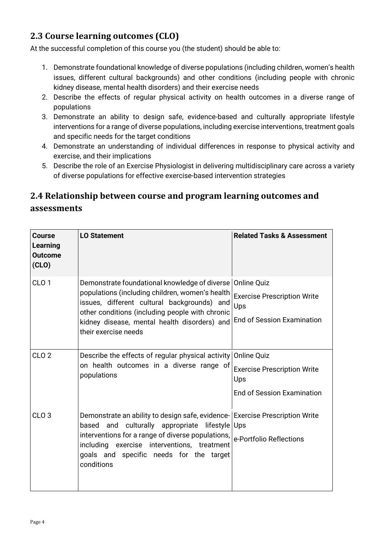## <span id="page-3-0"></span>**2.3 Course learning outcomes (CLO)**

At the successful completion of this course you (the student) should be able to:

- 1. Demonstrate foundational knowledge of diverse populations (including children, women's health issues, different cultural backgrounds) and other conditions (including people with chronic kidney disease, mental health disorders) and their exercise needs
- 2. Describe the effects of regular physical activity on health outcomes in a diverse range of populations
- 3. Demonstrate an ability to design safe, evidence-based and culturally appropriate lifestyle interventions for a range of diverse populations, including exercise interventions, treatment goals and specific needs for the target conditions
- 4. Demonstrate an understanding of individual differences in response to physical activity and exercise, and their implications
- 5. Describe the role of an Exercise Physiologist in delivering multidisciplinary care across a variety of diverse populations for effective exercise-based intervention strategies

## <span id="page-3-1"></span>**2.4 Relationship between course and program learning outcomes and assessments**

| Course<br>Learning<br><b>Outcome</b><br>(CLO) | <b>LO Statement</b>                                                                                                                                                                                                                                                                               | <b>Related Tasks &amp; Assessment</b>                           |  |
|-----------------------------------------------|---------------------------------------------------------------------------------------------------------------------------------------------------------------------------------------------------------------------------------------------------------------------------------------------------|-----------------------------------------------------------------|--|
| CLO <sub>1</sub>                              | Demonstrate foundational knowledge of diverse<br>populations (including children, women's health<br>issues, different cultural backgrounds) and<br>other conditions (including people with chronic                                                                                                | <b>Online Quiz</b><br><b>Exercise Prescription Write</b><br>Ups |  |
|                                               | kidney disease, mental health disorders) and<br>their exercise needs                                                                                                                                                                                                                              | <b>End of Session Examination</b>                               |  |
| CLO <sub>2</sub>                              | Describe the effects of regular physical activity<br>on health outcomes in a diverse range of<br>populations                                                                                                                                                                                      | <b>Online Quiz</b><br><b>Exercise Prescription Write</b><br>Ups |  |
|                                               |                                                                                                                                                                                                                                                                                                   | <b>End of Session Examination</b>                               |  |
| CLO <sub>3</sub>                              | Demonstrate an ability to design safe, evidence- Exercise Prescription Write<br>culturally appropriate lifestyle Ups<br>and<br>based<br>interventions for a range of diverse populations,<br>including exercise interventions, treatment<br>goals and specific needs for the target<br>conditions | e-Portfolio Reflections                                         |  |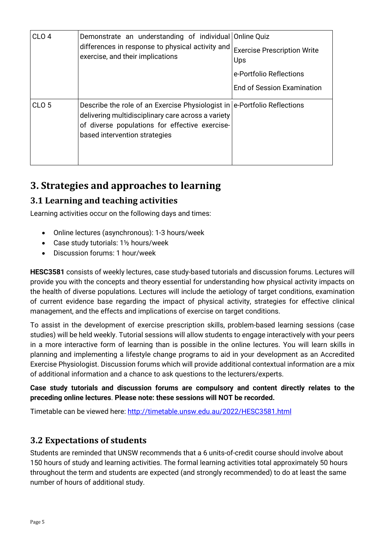| CLO <sub>4</sub> | Demonstrate an understanding of individual Online Quiz<br>differences in response to physical activity and<br>exercise, and their implications                                                                    | <b>Exercise Prescription Write</b><br>Ups<br>e-Portfolio Reflections<br><b>End of Session Examination</b> |
|------------------|-------------------------------------------------------------------------------------------------------------------------------------------------------------------------------------------------------------------|-----------------------------------------------------------------------------------------------------------|
| CLO <sub>5</sub> | Describe the role of an Exercise Physiologist in e-Portfolio Reflections<br>delivering multidisciplinary care across a variety<br>of diverse populations for effective exercise-<br>based intervention strategies |                                                                                                           |

## <span id="page-4-0"></span>**3. Strategies and approaches to learning**

#### <span id="page-4-1"></span>**3.1 Learning and teaching activities**

Learning activities occur on the following days and times:

- Online lectures (asynchronous): 1-3 hours/week
- Case study tutorials: 1½ hours/week
- Discussion forums: 1 hour/week

**HESC3581** consists of weekly lectures, case study-based tutorials and discussion forums. Lectures will provide you with the concepts and theory essential for understanding how physical activity impacts on the health of diverse populations. Lectures will include the aetiology of target conditions, examination of current evidence base regarding the impact of physical activity, strategies for effective clinical management, and the effects and implications of exercise on target conditions.

To assist in the development of exercise prescription skills, problem-based learning sessions (case studies) will be held weekly. Tutorial sessions will allow students to engage interactively with your peers in a more interactive form of learning than is possible in the online lectures. You will learn skills in planning and implementing a lifestyle change programs to aid in your development as an Accredited Exercise Physiologist. Discussion forums which will provide additional contextual information are a mix of additional information and a chance to ask questions to the lecturers/experts.

#### **Case study tutorials and discussion forums are compulsory and content directly relates to the preceding online lectures**. **Please note: these sessions will NOT be recorded.**

Timetable can be viewed here:<http://timetable.unsw.edu.au/2022/HESC3581.html>

#### <span id="page-4-2"></span>**3.2 Expectations of students**

Students are reminded that UNSW recommends that a 6 units-of-credit course should involve about 150 hours of study and learning activities. The formal learning activities total approximately 50 hours throughout the term and students are expected (and strongly recommended) to do at least the same number of hours of additional study.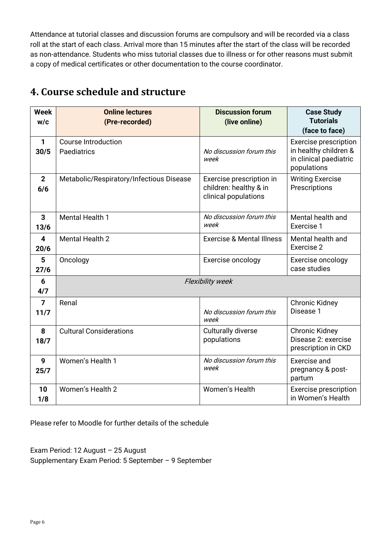Attendance at tutorial classes and discussion forums are compulsory and will be recorded via a class roll at the start of each class. Arrival more than 15 minutes after the start of the class will be recorded as non-attendance. Students who miss tutorial classes due to illness or for other reasons must submit a copy of medical certificates or other documentation to the course coordinator.

| <b>Week</b><br>W/C              | <b>Online lectures</b><br>(Pre-recorded)  | <b>Discussion forum</b><br>(live online)                                   | <b>Case Study</b><br><b>Tutorials</b><br>(face to face)                                        |
|---------------------------------|-------------------------------------------|----------------------------------------------------------------------------|------------------------------------------------------------------------------------------------|
| $\mathbf{1}$<br>30/5            | <b>Course Introduction</b><br>Paediatrics | No discussion forum this<br>week                                           | <b>Exercise prescription</b><br>in healthy children &<br>in clinical paediatric<br>populations |
| $\mathbf{2}$<br>6/6             | Metabolic/Respiratory/Infectious Disease  | Exercise prescription in<br>children: healthy & in<br>clinical populations | <b>Writing Exercise</b><br>Prescriptions                                                       |
| 3<br>13/6                       | <b>Mental Health 1</b>                    | No discussion forum this<br>week                                           | Mental health and<br>Exercise 1                                                                |
| $\overline{\mathbf{4}}$<br>20/6 | <b>Mental Health 2</b>                    | <b>Exercise &amp; Mental Illness</b>                                       | Mental health and<br>Exercise 2                                                                |
| 5<br>27/6                       | Oncology                                  | Exercise oncology                                                          | Exercise oncology<br>case studies                                                              |
| 6<br>4/7                        | <b>Flexibility week</b>                   |                                                                            |                                                                                                |
| $\overline{7}$<br>11/7          | Renal                                     | No discussion forum this<br>week                                           | <b>Chronic Kidney</b><br>Disease 1                                                             |
| 8<br>18/7                       | <b>Cultural Considerations</b>            | <b>Culturally diverse</b><br>populations                                   | <b>Chronic Kidney</b><br>Disease 2: exercise<br>prescription in CKD                            |
| 9<br>25/7                       | Women's Health 1                          | No discussion forum this<br>week                                           | Exercise and<br>pregnancy & post-<br>partum                                                    |
| 10<br>1/8                       | Women's Health 2                          | Women's Health                                                             | <b>Exercise prescription</b><br>in Women's Health                                              |

## <span id="page-5-0"></span>**4. Course schedule and structure**

Please refer to Moodle for further details of the schedule

Exam Period: 12 August – 25 August Supplementary Exam Period: 5 September – 9 September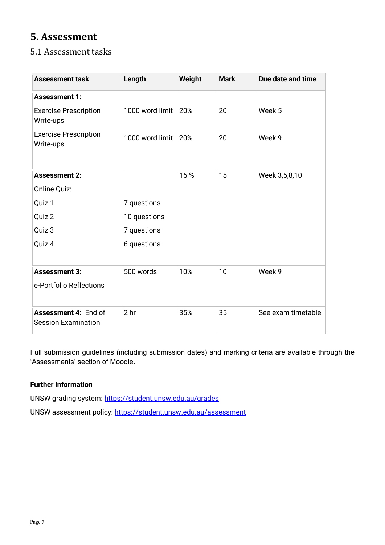## <span id="page-6-0"></span>**5. Assessment**

#### <span id="page-6-1"></span>5.1 Assessment tasks

| <b>Assessment task</b>                             | Length          | Weight | <b>Mark</b> | Due date and time  |
|----------------------------------------------------|-----------------|--------|-------------|--------------------|
| <b>Assessment 1:</b>                               |                 |        |             |                    |
| <b>Exercise Prescription</b><br>Write-ups          | 1000 word limit | 20%    | 20          | Week 5             |
| <b>Exercise Prescription</b><br>Write-ups          | 1000 word limit | 20%    | 20          | Week 9             |
|                                                    |                 |        |             |                    |
| <b>Assessment 2:</b>                               |                 | 15%    | 15          | Week 3,5,8,10      |
| Online Quiz:                                       |                 |        |             |                    |
| Quiz 1                                             | 7 questions     |        |             |                    |
| Quiz 2                                             | 10 questions    |        |             |                    |
| Quiz 3                                             | 7 questions     |        |             |                    |
| Quiz 4                                             | 6 questions     |        |             |                    |
|                                                    |                 |        |             |                    |
| <b>Assessment 3:</b>                               | 500 words       | 10%    | 10          | Week 9             |
| e-Portfolio Reflections                            |                 |        |             |                    |
| Assessment 4: End of<br><b>Session Examination</b> | 2 <sub>hr</sub> | 35%    | 35          | See exam timetable |

Full submission guidelines (including submission dates) and marking criteria are available through the 'Assessments' section of Moodle.

#### **Further information**

UNSW grading system:<https://student.unsw.edu.au/grades>

UNSW assessment policy:<https://student.unsw.edu.au/assessment>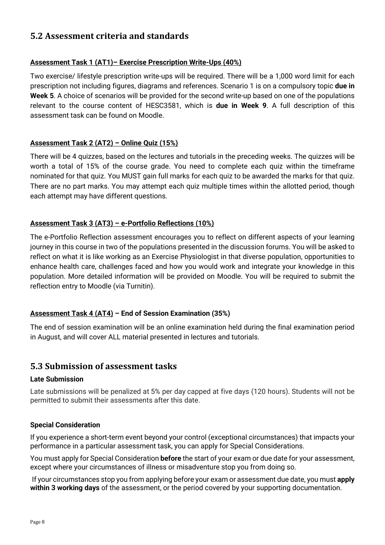#### <span id="page-7-0"></span>**5.2 Assessment criteria and standards**

#### **Assessment Task 1 (AT1)– Exercise Prescription Write-Ups (40%)**

Two exercise/ lifestyle prescription write-ups will be required. There will be a 1,000 word limit for each prescription not including figures, diagrams and references. Scenario 1 is on a compulsory topic **due in Week 5**. A choice of scenarios will be provided for the second write-up based on one of the populations relevant to the course content of HESC3581, which is **due in Week 9**. A full description of this assessment task can be found on Moodle.

#### **Assessment Task 2 (AT2) – Online Quiz (15%)**

There will be 4 quizzes, based on the lectures and tutorials in the preceding weeks. The quizzes will be worth a total of 15% of the course grade. You need to complete each quiz within the timeframe nominated for that quiz. You MUST gain full marks for each quiz to be awarded the marks for that quiz. There are no part marks. You may attempt each quiz multiple times within the allotted period, though each attempt may have different questions.

#### **Assessment Task 3 (AT3) – e-Portfolio Reflections (10%)**

The e-Portfolio Reflection assessment encourages you to reflect on different aspects of your learning journey in this course in two of the populations presented in the discussion forums. You will be asked to reflect on what it is like working as an Exercise Physiologist in that diverse population, opportunities to enhance health care, challenges faced and how you would work and integrate your knowledge in this population. More detailed information will be provided on Moodle. You will be required to submit the reflection entry to Moodle (via Turnitin).

#### **Assessment Task 4 (AT4) – End of Session Examination (35%)**

The end of session examination will be an online examination held during the final examination period in August, and will cover ALL material presented in lectures and tutorials.

#### <span id="page-7-1"></span>**5.3 Submission of assessment tasks**

#### **Late Submission**

Late submissions will be penalized at 5% per day capped at five days (120 hours). Students will not be permitted to submit their assessments after this date.

#### **Special Consideration**

If you experience a short-term event beyond your control (exceptional circumstances) that impacts your performance in a particular assessment task, you can apply for Special Considerations.

You must apply for Special Consideration **before** the start of your exam or due date for your assessment, except where your circumstances of illness or misadventure stop you from doing so.

If your circumstances stop you from applying before your exam or assessment due date, you must **apply within 3 working days** of the assessment, or the period covered by your supporting documentation.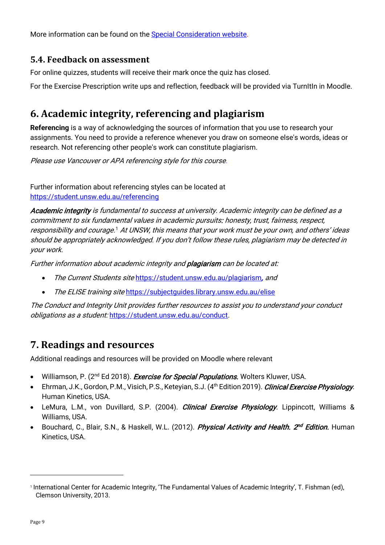More information can be found on the [Special Consideration website.](https://www.student.unsw.edu.au/special-consideration)

#### <span id="page-8-0"></span>**5.4. Feedback on assessment**

For online quizzes, students will receive their mark once the quiz has closed.

For the Exercise Prescription write ups and reflection, feedback will be provided via TurnItIn in Moodle.

## <span id="page-8-1"></span>**6. Academic integrity, referencing and plagiarism**

**Referencing** is a way of acknowledging the sources of information that you use to research your assignments. You need to provide a reference whenever you draw on someone else's words, ideas or research. Not referencing other people's work can constitute plagiarism.

Please use Vancouver or APA referencing style for this course.

Further information about referencing styles can be located at <https://student.unsw.edu.au/referencing>

Academic integrity is fundamental to success at university. Academic integrity can be defined as <sup>a</sup> commitment to six fundamental values in academic pursuits: honesty, trust, fairness, respect, responsibility and courage.[1](#page-8-3) At UNSW, this means that your work must be your own, and others' ideas should be appropriately acknowledged. If you don't follow these rules, plagiarism may be detected in your work.

Further information about academic integrity and **plagiarism** can be located at:

- The Current Students site <https://student.unsw.edu.au/plagiarism>, and
- The ELISE training site https://subjectquides.library.unsw.edu.au/elise

The Conduct and Integrity Unit provides further resources to assist you to understand your conduct obligations as a student: <https://student.unsw.edu.au/conduct>.

## <span id="page-8-2"></span>**7. Readings and resources**

Additional readings and resources will be provided on Moodle where relevant

- Williamson, P. (2<sup>nd</sup> Ed 2018). *Exercise for Special Populations*. Wolters Kluwer, USA.
- Ehrman, J.K., Gordon, P.M., Visich, P.S., Keteyian, S.J. (4<sup>th</sup> Edition 2019). *Clinical Exercise Physiology*. Human Kinetics, USA.
- LeMura, L.M., von Duvillard, S.P. (2004). *Clinical Exercise Physiology*. Lippincott, Williams & Williams, USA.
- Bouchard, C., Blair, S.N., & Haskell, W.L. (2012). Physical Activity and Health. 2<sup>nd</sup> Edition. Human Kinetics, USA.

<span id="page-8-3"></span><sup>1</sup> International Center for Academic Integrity, 'The Fundamental Values of Academic Integrity', T. Fishman (ed), Clemson University, 2013.